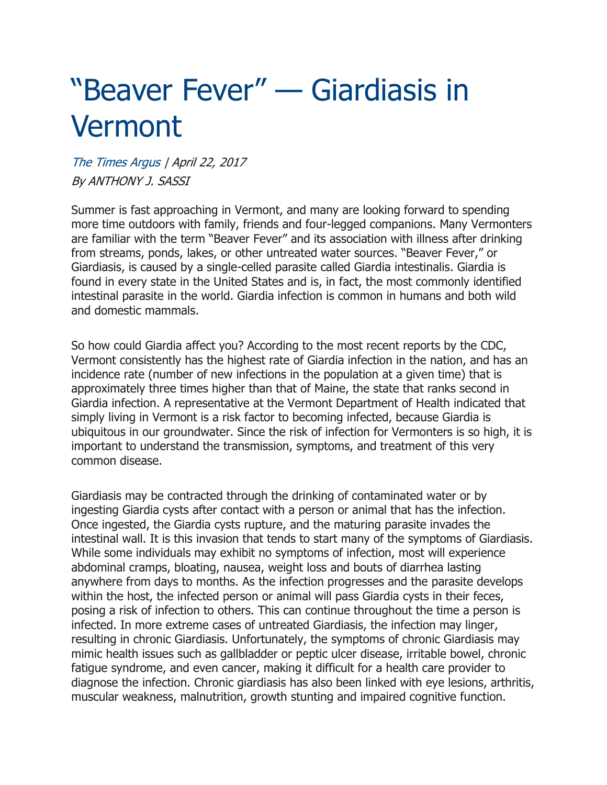## "Beaver Fever" — Giardiasis in Vermont

[The Times Argus](http://www.timesargus.com/author/webmastertimesargus-com/) | April 22, 2017 By ANTHONY J. SASSI

Summer is fast approaching in Vermont, and many are looking forward to spending more time outdoors with family, friends and four-legged companions. Many Vermonters are familiar with the term "Beaver Fever" and its association with illness after drinking from streams, ponds, lakes, or other untreated water sources. "Beaver Fever," or Giardiasis, is caused by a single-celled parasite called Giardia intestinalis. Giardia is found in every state in the United States and is, in fact, the most commonly identified intestinal parasite in the world. Giardia infection is common in humans and both wild and domestic mammals.

So how could Giardia affect you? According to the most recent reports by the CDC, Vermont consistently has the highest rate of Giardia infection in the nation, and has an incidence rate (number of new infections in the population at a given time) that is approximately three times higher than that of Maine, the state that ranks second in Giardia infection. A representative at the Vermont Department of Health indicated that simply living in Vermont is a risk factor to becoming infected, because Giardia is ubiquitous in our groundwater. Since the risk of infection for Vermonters is so high, it is important to understand the transmission, symptoms, and treatment of this very common disease.

Giardiasis may be contracted through the drinking of contaminated water or by ingesting Giardia cysts after contact with a person or animal that has the infection. Once ingested, the Giardia cysts rupture, and the maturing parasite invades the intestinal wall. It is this invasion that tends to start many of the symptoms of Giardiasis. While some individuals may exhibit no symptoms of infection, most will experience abdominal cramps, bloating, nausea, weight loss and bouts of diarrhea lasting anywhere from days to months. As the infection progresses and the parasite develops within the host, the infected person or animal will pass Giardia cysts in their feces, posing a risk of infection to others. This can continue throughout the time a person is infected. In more extreme cases of untreated Giardiasis, the infection may linger, resulting in chronic Giardiasis. Unfortunately, the symptoms of chronic Giardiasis may mimic health issues such as gallbladder or peptic ulcer disease, irritable bowel, chronic fatigue syndrome, and even cancer, making it difficult for a health care provider to diagnose the infection. Chronic giardiasis has also been linked with eye lesions, arthritis, muscular weakness, malnutrition, growth stunting and impaired cognitive function.